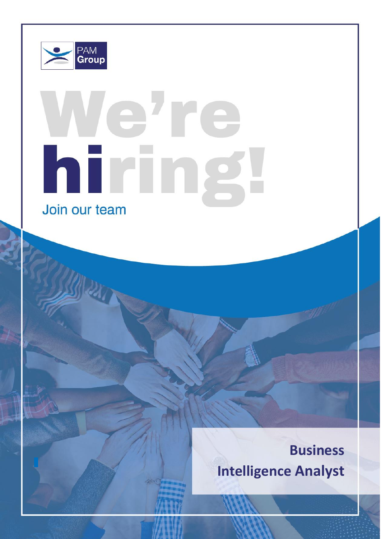

# ere hiring Join our team

# **Business Intelligence Analyst**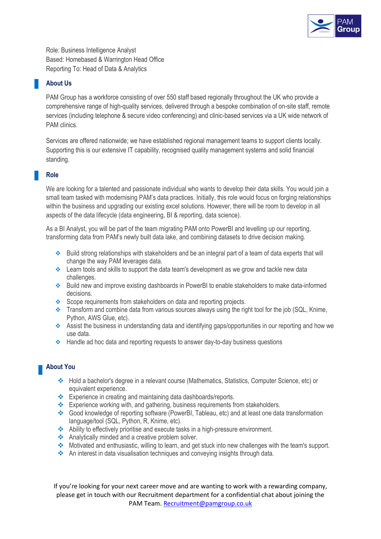

Role: Business Intelligence Analyst Based: Homebased & Warrington Head Office Reporting To: Head of Data & Analytics

### **About Us**

PAM Group has a workforce consisting of over 550 staff based regionally throughout the UK who provide a comprehensive range of high-quality services, delivered through a bespoke combination of on-site staff, remote services (including telephone & secure video conferencing) and clinic-based services via a UK wide network of PAM clinics.

Services are offered nationwide; we have established regional management teams to support clients locally. Supporting this is our extensive IT capability, recognised quality management systems and solid financial standing.

#### **Role**

We are looking for a talented and passionate individual who wants to develop their data skills. You would join a small team tasked with modernising PAM's data practices. Initially, this role would focus on forging relationships within the business and upgrading our existing excel solutions. However, there will be room to develop in all aspects of the data lifecycle (data engineering, BI & reporting, data science).

As a BI Analyst, you will be part of the team migrating PAM onto PowerBI and levelling up our reporting, transforming data from PAM's newly built data lake, and combining datasets to drive decision making.

- ❖ Build strong relationships with stakeholders and be an integral part of a team of data experts that will change the way PAM leverages data.
- ❖ Learn tools and skills to support the data team's development as we grow and tackle new data challenges.
- ❖ Build new and improve existing dashboards in PowerBI to enable stakeholders to make data-informed decisions.
- ❖ Scope requirements from stakeholders on data and reporting projects.
- ❖ Transform and combine data from various sources always using the right tool for the job (SQL, Knime, Python, AWS Glue, etc).
- ❖ Assist the business in understanding data and identifying gaps/opportunities in our reporting and how we use data.
- ❖ Handle ad hoc data and reporting requests to answer day-to-day business questions

#### **About You**

- ❖ Hold a bachelor's degree in a relevant course (Mathematics, Statistics, Computer Science, etc) or equivalent experience.
- ❖ Experience in creating and maintaining data dashboards/reports.
- ❖ Experience working with, and gathering, business requirements from stakeholders.
- ❖ Good knowledge of reporting software (PowerBI, Tableau, etc) and at least one data transformation language/tool (SQL, Python, R, Knime, etc).
- ❖ Ability to effectively prioritise and execute tasks in a high-pressure environment.
- ❖ Analytically minded and a creative problem solver.
- ❖ Motivated and enthusiastic, willing to learn, and get stuck into new challenges with the team's support.
- ❖ An interest in data visualisation techniques and conveying insights through data.

If you're looking for your next career move and are wanting to work with a rewarding company, please get in touch with our Recruitment department for a confidential chat about joining the PAM Team. [Recruitment@pamgroup.co.uk](mailto:Recruitment@pamgroup.co.uk)